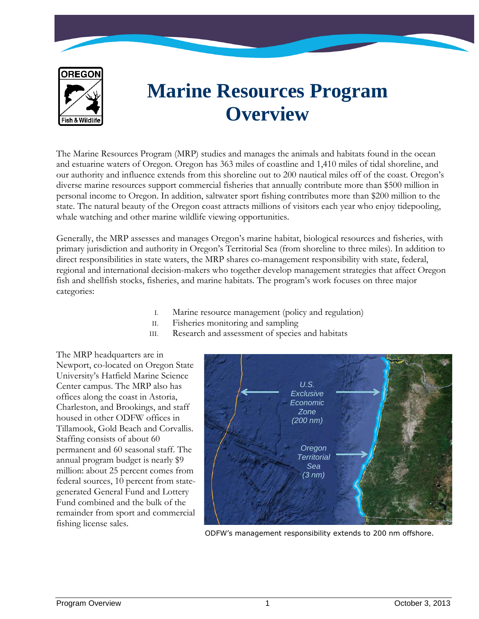

# **Marine Resources Program Overview**

The Marine Resources Program (MRP) studies and manages the animals and habitats found in the ocean and estuarine waters of Oregon. Oregon has 363 miles of coastline and 1,410 miles of tidal shoreline, and our authority and influence extends from this shoreline out to 200 nautical miles off of the coast. Oregon's diverse marine resources support commercial fisheries that annually contribute more than \$500 million in personal income to Oregon. In addition, saltwater sport fishing contributes more than \$200 million to the state. The natural beauty of the Oregon coast attracts millions of visitors each year who enjoy tidepooling, whale watching and other marine wildlife viewing opportunities.

Generally, the MRP assesses and manages Oregon's marine habitat, biological resources and fisheries, with primary jurisdiction and authority in Oregon's Territorial Sea (from shoreline to three miles). In addition to direct responsibilities in state waters, the MRP shares co-management responsibility with state, federal, regional and international decision-makers who together develop management strategies that affect Oregon fish and shellfish stocks, fisheries, and marine habitats. The program's work focuses on three major categories:

- I. Marine resource management (policy and regulation)
- II. Fisheries monitoring and sampling
- III. Research and assessment of species and habitats

The MRP headquarters are in Newport, co-located on Oregon State University's Hatfield Marine Science Center campus. The MRP also has offices along the coast in Astoria, Charleston, and Brookings, and staff housed in other ODFW offices in Tillamook, Gold Beach and Corvallis. Staffing consists of about 60 permanent and 60 seasonal staff. The annual program budget is nearly \$9 million: about 25 percent comes from federal sources, 10 percent from stategenerated General Fund and Lottery Fund combined and the bulk of the remainder from sport and commercial fishing license sales.



ODFW's management responsibility extends to 200 nm offshore.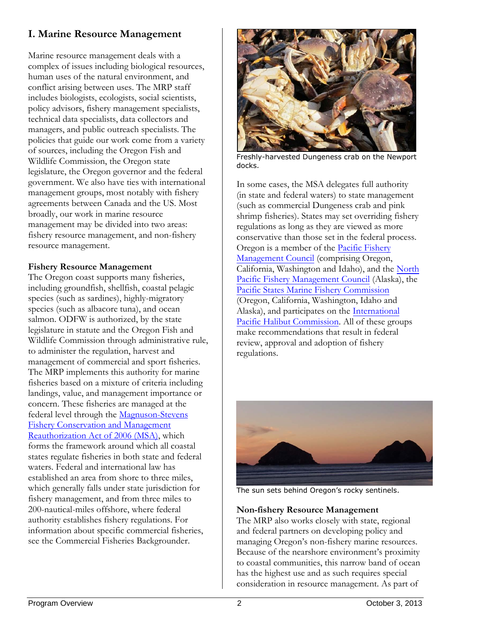# **I. Marine Resource Management**

Marine resource management deals with a complex of issues including biological resources, human uses of the natural environment, and conflict arising between uses. The MRP staff includes biologists, ecologists, social scientists, policy advisors, fishery management specialists, technical data specialists, data collectors and managers, and public outreach specialists. The policies that guide our work come from a variety of sources, including the Oregon Fish and Wildlife Commission, the Oregon state legislature, the Oregon governor and the federal government. We also have ties with international management groups, most notably with fishery agreements between Canada and the US. Most broadly, our work in marine resource management may be divided into two areas: fishery resource management, and non-fishery resource management.

## **Fishery Resource Management**

The Oregon coast supports many fisheries, including groundfish, shellfish, coastal pelagic species (such as sardines), highly-migratory species (such as albacore tuna), and ocean salmon. ODFW is authorized, by the state legislature in statute and the Oregon Fish and Wildlife Commission through administrative rule, to administer the regulation, harvest and management of commercial and sport fisheries. The MRP implements this authority for marine fisheries based on a mixture of criteria including landings, value, and management importance or concern. These fisheries are managed at the federal level through the Magnuson-Stevens [Fishery Conservation and Management](http://www.nmfs.noaa.gov/msa2005/docs/MSA_amended_msa%20_20070112_FINAL.pdf)  [Reauthorization Act of 2006 \(MSA\),](http://www.nmfs.noaa.gov/msa2005/docs/MSA_amended_msa%20_20070112_FINAL.pdf) which forms the framework around which all coastal states regulate fisheries in both state and federal waters. Federal and international law has established an area from shore to three miles, which generally falls under state jurisdiction for fishery management, and from three miles to 200-nautical-miles offshore, where federal authority establishes fishery regulations. For information about specific commercial fisheries, see the Commercial Fisheries Backgrounder.



Freshly-harvested Dungeness crab on the Newport docks.

In some cases, the MSA delegates full authority (in state and federal waters) to state management (such as commercial Dungeness crab and pink shrimp fisheries). States may set overriding fishery regulations as long as they are viewed as more conservative than those set in the federal process. Oregon is a member of the [Pacific Fishery](http://www.pcouncil.org/) [Management Council](http://www.pcouncil.org/) (comprising Oregon, California, Washington and Idaho), and the [North](http://www.fakr.noaa.gov/npfmc/)  [Pacific Fishery Management Council](http://www.fakr.noaa.gov/npfmc/) (Alaska), the [Pacific States Marine Fishery Commission](http://www.psmfc.org/) (Oregon, California, Washington, Idaho and Alaska), and participates on the [International](http://www.iphc.int/)  [Pacific Halibut Commission.](http://www.iphc.int/) All of these groups make recommendations that result in federal review, approval and adoption of fishery regulations.



The sun sets behind Oregon's rocky sentinels.

#### **Non-fishery Resource Management**

The MRP also works closely with state, regional and federal partners on developing policy and managing Oregon's non-fishery marine resources. Because of the nearshore environment's proximity to coastal communities, this narrow band of ocean has the highest use and as such requires special consideration in resource management. As part of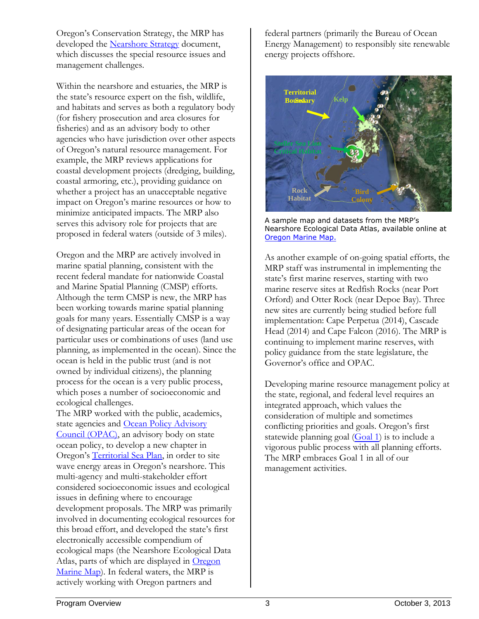Oregon's Conservation Strategy, the MRP has developed the [Nearshore Strategy](http://www.dfw.state.or.us/MRP/nearshore/document.asp) document, which discusses the special resource issues and management challenges.

Within the nearshore and estuaries, the MRP is the state's resource expert on the fish, wildlife, and habitats and serves as both a regulatory body (for fishery prosecution and area closures for fisheries) and as an advisory body to other agencies who have jurisdiction over other aspects of Oregon's natural resource management. For example, the MRP reviews applications for coastal development projects (dredging, building, coastal armoring, etc.), providing guidance on whether a project has an unacceptable negative impact on Oregon's marine resources or how to minimize anticipated impacts. The MRP also serves this advisory role for projects that are proposed in federal waters (outside of 3 miles).

Oregon and the MRP are actively involved in marine spatial planning, consistent with the recent federal mandate for nationwide Coastal and Marine Spatial Planning (CMSP) efforts. Although the term CMSP is new, the MRP has been working towards marine spatial planning goals for many years. Essentially CMSP is a way of designating particular areas of the ocean for particular uses or combinations of uses (land use planning, as implemented in the ocean). Since the ocean is held in the public trust (and is not owned by individual citizens), the planning process for the ocean is a very public process, which poses a number of socioeconomic and ecological challenges.

The MRP worked with the public, academics, state agencies and Ocean Policy Advisory [Council](http://www.oregon.gov/LCD/OPAC/) (OPAC), an advisory body on state ocean policy, to develop a new chapter in Oregon's [Territorial Sea Plan,](http://www.oregonocean.info/index.php?option=com_content&view=category&layout=blog&id=15&Itemid=12) in order to site wave energy areas in Oregon's nearshore. This multi-agency and multi-stakeholder effort considered socioeconomic issues and ecological issues in defining where to encourage development proposals. The MRP was primarily involved in documenting ecological resources for this broad effort, and developed the state's first electronically accessible compendium of ecological maps (the Nearshore Ecological Data Atlas, parts of which are displayed in [Oregon](http://oregon.marinemap.org/)  [Marine Map\)](http://oregon.marinemap.org/). In federal waters, the MRP is actively working with Oregon partners and

federal partners (primarily the Bureau of Ocean Energy Management) to responsibly site renewable energy projects offshore.



A sample map and datasets from the MRP's Nearshore Ecological Data Atlas, available online at [Oregon Marine Map.](http://oregon.marinemap.org/)

As another example of on-going spatial efforts, the MRP staff was instrumental in implementing the state's first marine reserves, starting with two marine reserve sites at Redfish Rocks (near Port Orford) and Otter Rock (near Depoe Bay). Three new sites are currently being studied before full implementation: Cape Perpetua (2014), Cascade Head (2014) and Cape Falcon (2016). The MRP is continuing to implement marine reserves, with policy guidance from the state legislature, the Governor's office and OPAC.

Developing marine resource management policy at the state, regional, and federal level requires an integrated approach, which values the consideration of multiple and sometimes conflicting priorities and goals. Oregon's first statewide planning goal [\(Goal 1\)](http://www.oregon.gov/LCD/docs/goals/Goal01.pdf) is to include a vigorous public process with all planning efforts. The MRP embraces Goal 1 in all of our management activities.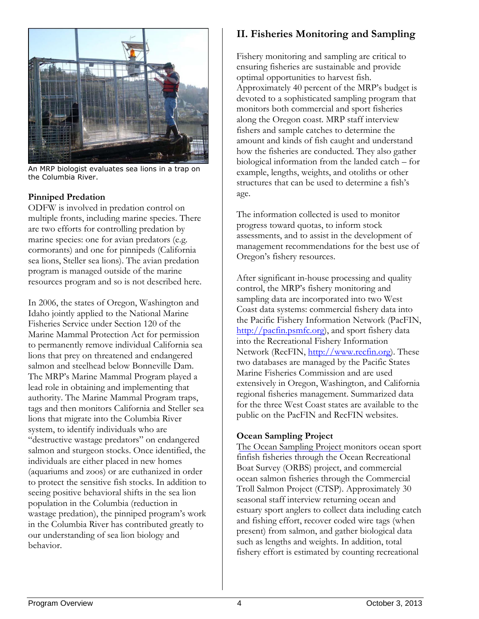

An MRP biologist evaluates sea lions in a trap on the Columbia River.

#### **Pinniped Predation**

ODFW is involved in predation control on multiple fronts, including marine species. There are two efforts for controlling predation by marine species: one for avian predators (e.g. cormorants) and one for pinnipeds (California sea lions, Steller sea lions). The avian predation program is managed outside of the marine resources program and so is not described here.

In 2006, the states of Oregon, Washington and Idaho jointly applied to the National Marine Fisheries Service under Section 120 of the Marine Mammal Protection Act for permission to permanently remove individual California sea lions that prey on threatened and endangered salmon and steelhead below Bonneville Dam. The MRP's Marine Mammal Program played a lead role in obtaining and implementing that authority. The Marine Mammal Program traps, tags and then monitors California and Steller sea lions that migrate into the Columbia River system, to identify individuals who are "destructive wastage predators" on endangered salmon and sturgeon stocks. Once identified, the individuals are either placed in new homes (aquariums and zoos) or are euthanized in order to protect the sensitive fish stocks. In addition to seeing positive behavioral shifts in the sea lion population in the Columbia (reduction in wastage predation), the pinniped program's work in the Columbia River has contributed greatly to our understanding of sea lion biology and behavior.

# **II. Fisheries Monitoring and Sampling**

Fishery monitoring and sampling are critical to ensuring fisheries are sustainable and provide optimal opportunities to harvest fish. Approximately 40 percent of the MRP's budget is devoted to a sophisticated sampling program that monitors both commercial and sport fisheries along the Oregon coast. MRP staff interview fishers and sample catches to determine the amount and kinds of fish caught and understand how the fisheries are conducted. They also gather biological information from the landed catch – for example, lengths, weights, and otoliths or other structures that can be used to determine a fish's age.

The information collected is used to monitor progress toward quotas, to inform stock assessments, and to assist in the development of management recommendations for the best use of Oregon's fishery resources.

After significant in-house processing and quality control, the MRP's fishery monitoring and sampling data are incorporated into two West Coast data systems: commercial fishery data into the Pacific Fishery Information Network (PacFIN, [http://pacfin.psmfc.org\)](http://pacfin.psmfc.org/), and sport fishery data into the Recreational Fishery Information Network (RecFIN, [http://www.recfin.org\)](http://www.recfin.org/). These two databases are managed by the Pacific States Marine Fisheries Commission and are used extensively in Oregon, Washington, and California regional fisheries management. Summarized data for the three West Coast states are available to the public on the PacFIN and RecFIN websites.

## **Ocean Sampling Project**

[The Ocean Sampling Project m](mailto:Maggie.Sommer@state.or.us)onitors ocean sport finfish fisheries through the Ocean Recreational Boat Survey (ORBS) project, and commercial ocean salmon fisheries through the Commercial Troll Salmon Project (CTSP). Approximately 30 seasonal staff interview returning ocean and estuary sport anglers to collect data including catch and fishing effort, recover coded wire tags (when present) from salmon, and gather biological data such as lengths and weights. In addition, total fishery effort is estimated by counting recreational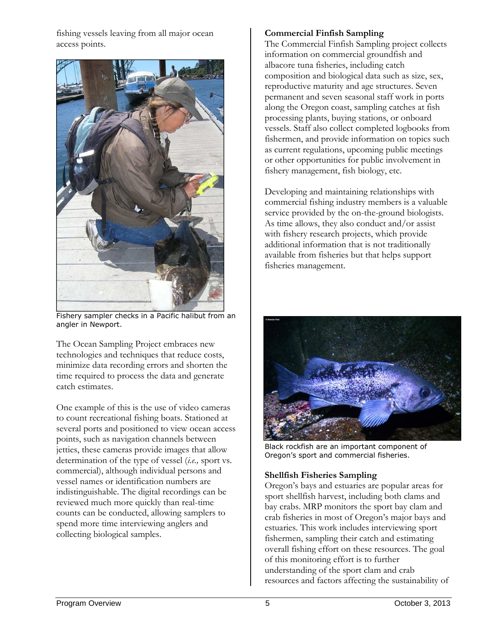fishing vessels leaving from all major ocean access points.



Fishery sampler checks in a Pacific halibut from an angler in Newport.

The Ocean Sampling Project embraces new technologies and techniques that reduce costs, minimize data recording errors and shorten the time required to process the data and generate catch estimates.

One example of this is the use of video cameras to count recreational fishing boats. Stationed at several ports and positioned to view ocean access points, such as navigation channels between jetties, these cameras provide images that allow determination of the type of vessel (*i.e.,* sport vs. commercial), although individual persons and vessel names or identification numbers are indistinguishable. The digital recordings can be reviewed much more quickly than real-time counts can be conducted, allowing samplers to spend more time interviewing anglers and collecting biological samples.

#### **Commercial Finfish Sampling**

The Commercial Finfish Sampling project collects information on commercial groundfish and albacore tuna fisheries, including catch composition and biological data such as size, sex, reproductive maturity and age structures. Seven permanent and seven seasonal staff work in ports along the Oregon coast, sampling catches at fish processing plants, buying stations, or onboard vessels. Staff also collect completed logbooks from fishermen, and provide information on topics such as current regulations, upcoming public meetings or other opportunities for public involvement in fishery management, fish biology, etc.

Developing and maintaining relationships with commercial fishing industry members is a valuable service provided by the on-the-ground biologists. As time allows, they also conduct and/or assist with fishery research projects, which provide additional information that is not traditionally available from fisheries but that helps support fisheries management.



Black rockfish are an important component of Oregon's sport and commercial fisheries.

## **Shellfish Fisheries Sampling**

Oregon's bays and estuaries are popular areas for sport shellfish harvest, including both clams and bay crabs. MRP monitors the sport bay clam and crab fisheries in most of Oregon's major bays and estuaries. This work includes interviewing sport fishermen, sampling their catch and estimating overall fishing effort on these resources. The goal of this monitoring effort is to further understanding of the sport clam and crab resources and factors affecting the sustainability of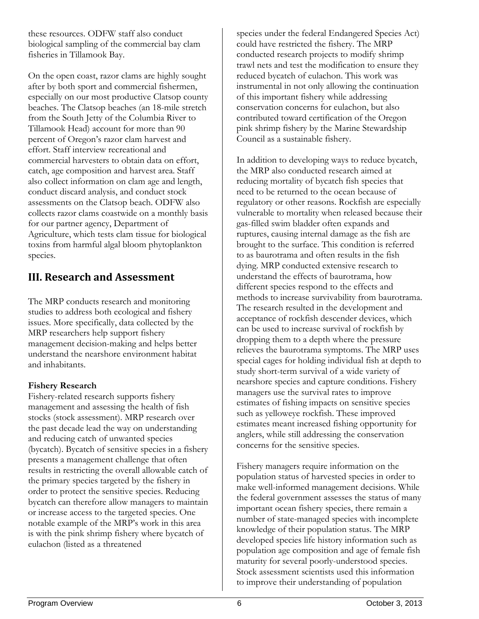these resources. ODFW staff also conduct biological sampling of the commercial bay clam fisheries in Tillamook Bay.

On the open coast, razor clams are highly sought after by both sport and commercial fishermen, especially on our most productive Clatsop county beaches. The Clatsop beaches (an 18-mile stretch from the South Jetty of the Columbia River to Tillamook Head) account for more than 90 percent of Oregon's razor clam harvest and effort. Staff interview recreational and commercial harvesters to obtain data on effort, catch, age composition and harvest area. Staff also collect information on clam age and length, conduct discard analysis, and conduct stock assessments on the Clatsop beach. ODFW also collects razor clams coastwide on a monthly basis for our partner agency, Department of Agriculture, which tests clam tissue for biological toxins from harmful algal bloom phytoplankton species.

# **III. [Research and Asse](mailto:Steven.S.Rumrill@state.or.us)ssment**

The MRP conducts research and monitoring studies to address both ecological and fishery issues. More specifically, data collected by the MRP researchers help support fishery management decision-making and helps better understand the nearshore environment habitat and inhabitants.

## **Fishery Research**

Fishery-related research supports fishery management and assessing the health of fish stocks (stock assessment). MRP research over the past decade lead the way on understanding and reducing catch of unwanted species (bycatch). Bycatch of sensitive species in a fishery presents a management challenge that often results in restricting the overall allowable catch of the primary species targeted by the fishery in order to protect the sensitive species. Reducing bycatch can therefore allow managers to maintain or increase access to the targeted species. One notable example of the MRP's work in this area is with the pink shrimp fishery where bycatch of eulachon (listed as a threatened

species under the federal Endangered Species Act) could have restricted the fishery. The MRP conducted research projects to modify shrimp trawl nets and test the modification to ensure they reduced bycatch of eulachon. This work was instrumental in not only allowing the continuation of this important fishery while addressing conservation concerns for eulachon, but also contributed toward certification of the Oregon pink shrimp fishery by the Marine Stewardship Council as a sustainable fishery.

In addition to developing ways to reduce bycatch, the MRP also conducted research aimed at reducing mortality of bycatch fish species that need to be returned to the ocean because of regulatory or other reasons. Rockfish are especially vulnerable to mortality when released because their gas-filled swim bladder often expands and ruptures, causing internal damage as the fish are brought to the surface. This condition is referred to as baurotrama and often results in the fish dying. MRP conducted extensive research to understand the effects of baurotrama, how different species respond to the effects and methods to increase survivability from baurotrama. The research resulted in the development and acceptance of rockfish descender devices, which can be used to increase survival of rockfish by dropping them to a depth where the pressure relieves the baurotrama symptoms. The MRP uses special cages for holding individual fish at depth to study short-term survival of a wide variety of nearshore species and capture conditions. Fishery managers use the survival rates to improve estimates of fishing impacts on sensitive species such as yelloweye rockfish. These improved estimates meant increased fishing opportunity for anglers, while still addressing the conservation concerns for the sensitive species.

Fishery managers require information on the population status of harvested species in order to make well-informed management decisions. While the federal government assesses the status of many important ocean fishery species, there remain a number of state-managed species with incomplete knowledge of their population status. The MRP developed species life history information such as population age composition and age of female fish maturity for several poorly-understood species. Stock assessment scientists used this information to improve their understanding of population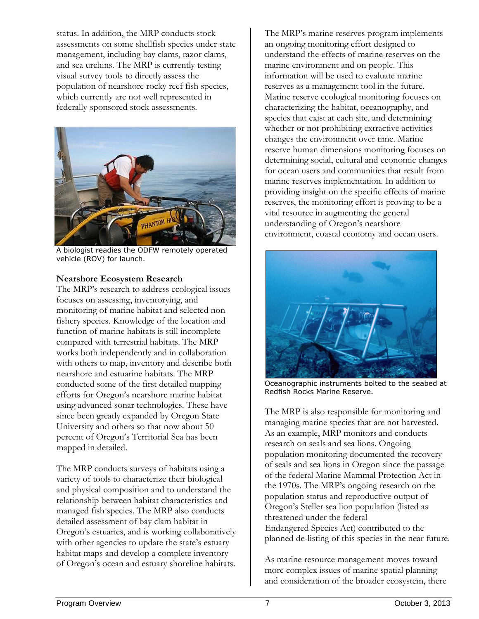status. In addition, the MRP conducts stock assessments on some shellfish species under state management, including bay clams, razor clams, and sea urchins. The MRP is currently testing visual survey tools to directly assess the population of nearshore rocky reef fish species, which currently are not well represented in federally-sponsored stock assessments.



A biologist readies the ODFW remotely operated vehicle (ROV) for launch.

#### **Nearshore Ecosystem Research**

The MRP's research to address ecological issues focuses on assessing, inventorying, and monitoring of marine habitat and selected nonfishery species. Knowledge of the location and function of marine habitats is still incomplete compared with terrestrial habitats. The MRP works both independently and in collaboration with others to map, inventory and describe both nearshore and estuarine habitats. The MRP conducted some of the first detailed mapping efforts for Oregon's nearshore marine habitat using advanced sonar technologies. These have since been greatly expanded by Oregon State University and others so that now about 50 percent of Oregon's Territorial Sea has been mapped in detailed.

The MRP conducts surveys of habitats using a variety of tools to characterize their biological and physical composition and to understand the relationship between habitat characteristics and managed fish species. The MRP also conducts detailed assessment of bay clam habitat in Oregon's estuaries, and is working collaboratively with other agencies to update the state's estuary habitat maps and develop a complete inventory of Oregon's ocean and estuary shoreline habitats.

The MRP's marine reserves program implements an ongoing monitoring effort designed to understand the effects of marine reserves on the marine environment and on people. This information will be used to evaluate marine reserves as a management tool in the future. Marine reserve ecological monitoring focuses on characterizing the habitat, oceanography, and species that exist at each site, and determining whether or not prohibiting extractive activities changes the environment over time. Marine reserve human dimensions monitoring focuses on determining social, cultural and economic changes for ocean users and communities that result from marine reserves implementation. In addition to providing insight on the specific effects of marine reserves, the monitoring effort is proving to be a vital resource in augmenting the general understanding of Oregon's nearshore environment, coastal economy and ocean users.



Oceanographic instruments bolted to the seabed at Redfish Rocks Marine Reserve.

The MRP is also responsible for monitoring and managing marine species that are not harvested. As an example, MRP monitors and conducts research on seals and sea lions. Ongoing population monitoring documented the recovery of seals and sea lions in Oregon since the passage of the federal Marine Mammal Protection Act in the 1970s. The MRP's ongoing research on the population status and reproductive output of Oregon's Steller sea lion population (listed as threatened under the federal Endangered Species Act) contributed to the planned de-listing of this species in the near future.

As marine resource management moves toward more complex issues of marine spatial planning and consideration of the broader ecosystem, there